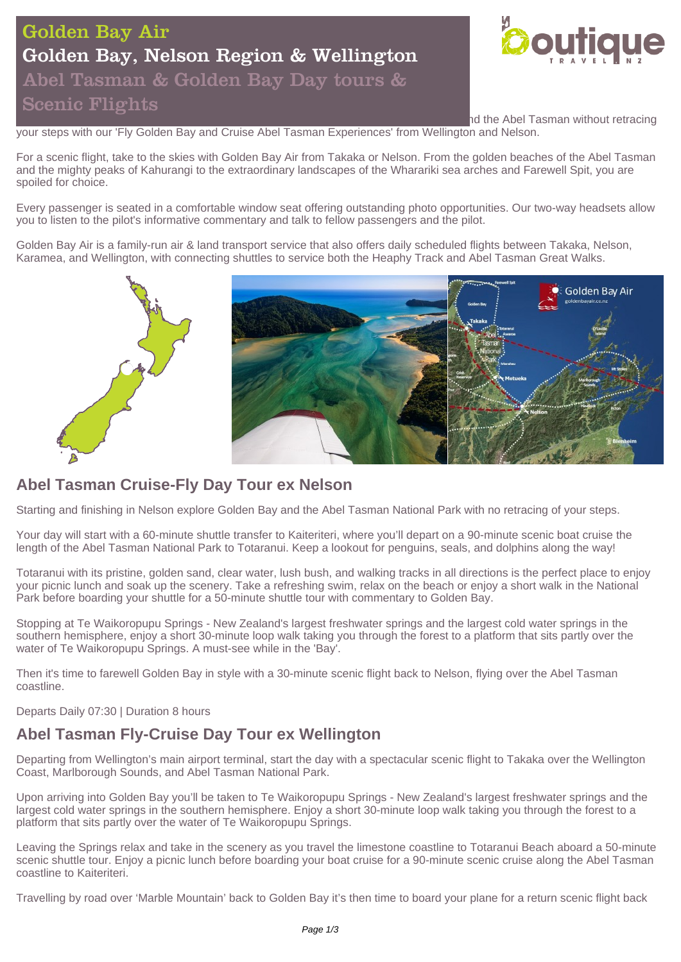# Golden Bay Air Golden Bay, Nelson Region & Wellington Abel Tasman & Golden Bay Day tours & Scenic Flights



hd the Abel Tasman without retracing

your steps with our 'Fly Golden Bay and Cruise Abel Tasman Experiences' from Wellington and Nelson.

For a scenic flight, take to the skies with Golden Bay Air from Takaka or Nelson. From the golden beaches of the Abel Tasman and the mighty peaks of Kahurangi to the extraordinary landscapes of the Wharariki sea arches and Farewell Spit, you are spoiled for choice.

Every passenger is seated in a comfortable window seat offering outstanding photo opportunities. Our two-way headsets allow you to listen to the pilot's informative commentary and talk to fellow passengers and the pilot.

Golden Bay Air is a family-run air & land transport service that also offers daily scheduled flights between Takaka, Nelson, Karamea, and Wellington, with connecting shuttles to service both the Heaphy Track and Abel Tasman Great Walks.



## **Abel Tasman Cruise-Fly Day Tour ex Nelson**

Starting and finishing in Nelson explore Golden Bay and the Abel Tasman National Park with no retracing of your steps.

Your day will start with a 60-minute shuttle transfer to Kaiteriteri, where you'll depart on a 90-minute scenic boat cruise the length of the Abel Tasman National Park to Totaranui. Keep a lookout for penguins, seals, and dolphins along the way!

Totaranui with its pristine, golden sand, clear water, lush bush, and walking tracks in all directions is the perfect place to enjoy your picnic lunch and soak up the scenery. Take a refreshing swim, relax on the beach or enjoy a short walk in the National Park before boarding your shuttle for a 50-minute shuttle tour with commentary to Golden Bay.

Stopping at Te Waikoropupu Springs - New Zealand's largest freshwater springs and the largest cold water springs in the southern hemisphere, enjoy a short 30-minute loop walk taking you through the forest to a platform that sits partly over the water of Te Waikoropupu Springs. A must-see while in the 'Bay'.

Then it's time to farewell Golden Bay in style with a 30-minute scenic flight back to Nelson, flying over the Abel Tasman coastline.

Departs Daily 07:30 | Duration 8 hours

# **Abel Tasman Fly-Cruise Day Tour ex Wellington**

Departing from Wellington's main airport terminal, start the day with a spectacular scenic flight to Takaka over the Wellington Coast, Marlborough Sounds, and Abel Tasman National Park.

Upon arriving into Golden Bay you'll be taken to Te Waikoropupu Springs - New Zealand's largest freshwater springs and the largest cold water springs in the southern hemisphere. Enjoy a short 30-minute loop walk taking you through the forest to a platform that sits partly over the water of Te Waikoropupu Springs.

Leaving the Springs relax and take in the scenery as you travel the limestone coastline to Totaranui Beach aboard a 50-minute scenic shuttle tour. Enjoy a picnic lunch before boarding your boat cruise for a 90-minute scenic cruise along the Abel Tasman coastline to Kaiteriteri.

Travelling by road over 'Marble Mountain' back to Golden Bay it's then time to board your plane for a return scenic flight back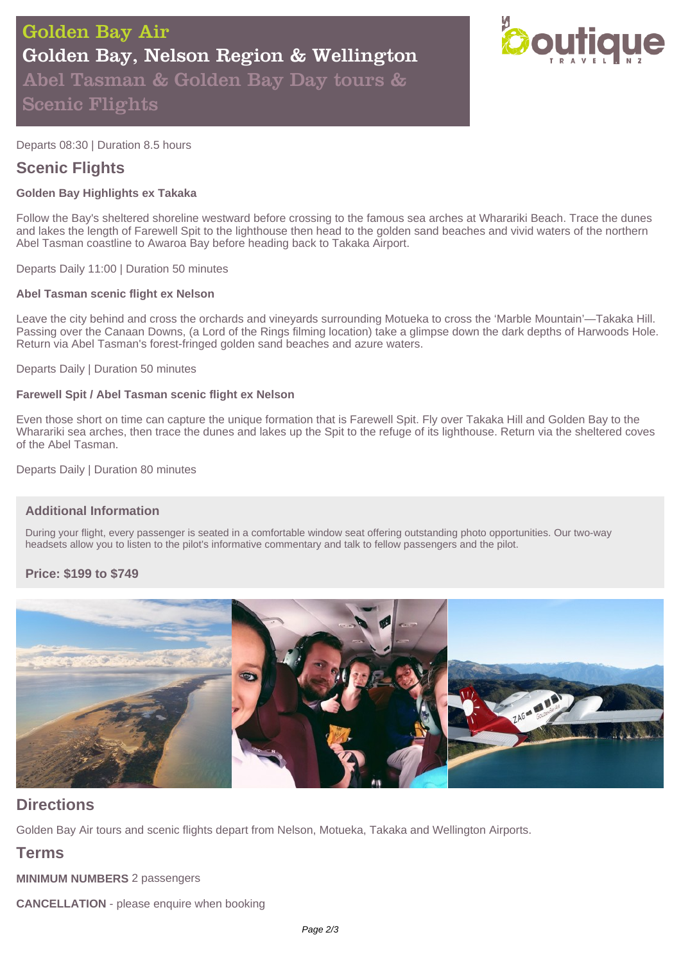

Departs 08:30 | Duration 8.5 hours

### **Scenic Flights**

#### **Golden Bay Highlights ex Takaka**

Follow the Bay's sheltered shoreline westward before crossing to the famous sea arches at Wharariki Beach. Trace the dunes and lakes the length of Farewell Spit to the lighthouse then head to the golden sand beaches and vivid waters of the northern Abel Tasman coastline to Awaroa Bay before heading back to Takaka Airport.

Departs Daily 11:00 | Duration 50 minutes

#### **Abel Tasman scenic flight ex Nelson**

Leave the city behind and cross the orchards and vineyards surrounding Motueka to cross the 'Marble Mountain'—Takaka Hill. Passing over the Canaan Downs, (a Lord of the Rings filming location) take a glimpse down the dark depths of Harwoods Hole. Return via Abel Tasman's forest-fringed golden sand beaches and azure waters.

Departs Daily | Duration 50 minutes

#### **Farewell Spit / Abel Tasman scenic flight ex Nelson**

Even those short on time can capture the unique formation that is Farewell Spit. Fly over Takaka Hill and Golden Bay to the Wharariki sea arches, then trace the dunes and lakes up the Spit to the refuge of its lighthouse. Return via the sheltered coves of the Abel Tasman.

Departs Daily | Duration 80 minutes

#### **Additional Information**

During your flight, every passenger is seated in a comfortable window seat offering outstanding photo opportunities. Our two-way headsets allow you to listen to the pilot's informative commentary and talk to fellow passengers and the pilot.

#### **Price: \$199 to \$749**



## **Directions**

Golden Bay Air tours and scenic flights depart from Nelson, Motueka, Takaka and Wellington Airports.

### **Terms**

**MINIMUM NUMBERS** 2 passengers

**CANCELLATION** - please enquire when booking